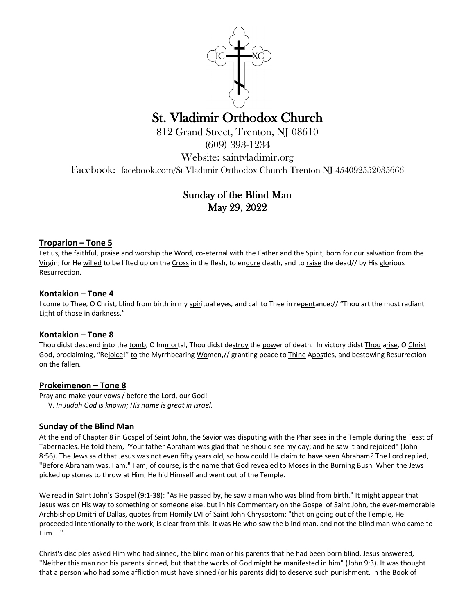

# St. Vladimir Orthodox Church<br>812 Grand Street, Trenton, NJ 08610

(609) 393-1234

Website: saintvladimir.org

Facebook: facebook.com/St-Vladimir-Orthodox-Church-Trenton-NJ-454092552035666

# Sunday of the Blind Man May 29, 2022

### **Troparion – Tone 5**

Let us, the faithful, praise and worship the Word, co-eternal with the Father and the Spirit, born for our salvation from the Virgin; for He willed to be lifted up on the Cross in the flesh, to endure death, and to raise the dead// by His glorious Resurrection.

#### **Kontakion – Tone 4**

I come to Thee, O Christ, blind from birth in my spiritual eyes, and call to Thee in repentance:// "Thou art the most radiant Light of those in darkness."

#### **Kontakion – Tone 8**

Thou didst descend into the tomb, O Immortal, Thou didst destroy the power of death. In victory didst Thou arise, O Christ God, proclaiming, "Rejoice!" to the Myrrhbearing Women,// granting peace to Thine Apostles, and bestowing Resurrection on the fallen.

#### **Prokeimenon – Tone 8**

Pray and make your vows / before the Lord, our God! V. *In Judah God is known; His name is great in Israel.* 

## **Sunday of the Blind Man**

At the end of Chapter 8 in Gospel of Saint John, the Savior was disputing with the Pharisees in the Temple during the Feast of Tabernacles. He told them, "Your father Abraham was glad that he should see my day; and he saw it and rejoiced" (John 8:56). The Jews said that Jesus was not even fifty years old, so how could He claim to have seen Abraham? The Lord replied, "Before Abraham was, I am." I am, of course, is the name that God revealed to Moses in the Burning Bush. When the Jews picked up stones to throw at Him, He hid Himself and went out of the Temple.

We read in SaInt John's Gospel (9:1-38): "As He passed by, he saw a man who was blind from birth." It might appear that Jesus was on His way to something or someone else, but in his Commentary on the Gospel of Saint John, the ever-memorable Archbishop Dmitri of Dallas, quotes from Homily LVI of Saint John Chrysostom: "that on going out of the Temple, He proceeded intentionally to the work, is clear from this: it was He who saw the blind man, and not the blind man who came to Him...."

Christ's disciples asked Him who had sinned, the blind man or his parents that he had been born blind. Jesus answered, "Neither this man nor his parents sinned, but that the works of God might be manifested in him" (John 9:3). It was thought that a person who had some affliction must have sinned (or his parents did) to deserve such punishment. In the Book of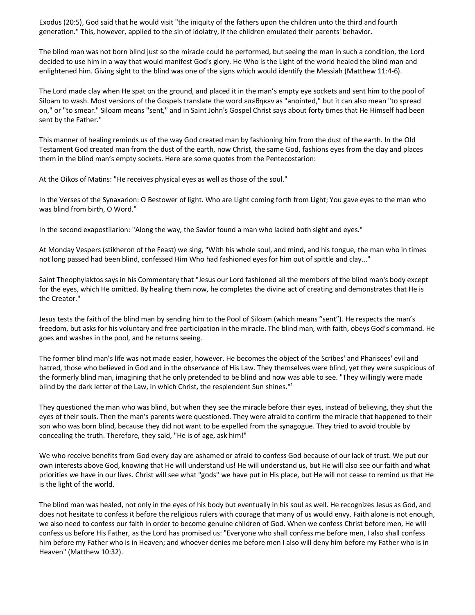Exodus (20:5), God said that he would visit "the iniquity of the fathers upon the children unto the third and fourth generation." This, however, applied to the sin of idolatry, if the children emulated their parents' behavior.

The blind man was not born blind just so the miracle could be performed, but seeing the man in such a condition, the Lord decided to use him in a way that would manifest God's glory. He Who is the Light of the world healed the blind man and enlightened him. Giving sight to the blind was one of the signs which would identify the Messiah (Matthew 11:4-6).

The Lord made clay when He spat on the ground, and placed it in the man's empty eye sockets and sent him to the pool of Siloam to wash. Most versions of the Gospels translate the word επεθηκεν as "anointed," but it can also mean "to spread on," or "to smear." Siloam means "sent," and in Saint John's Gospel Christ says about forty times that He Himself had been sent by the Father."

This manner of healing reminds us of the way God created man by fashioning him from the dust of the earth. In the Old Testament God created man from the dust of the earth, now Christ, the same God, fashions eyes from the clay and places them in the blind man's empty sockets. Here are some quotes from the Pentecostarion:

At the Oikos of Matins: "He receives physical eyes as well as those of the soul."

In the Verses of the Synaxarion: O Bestower of light. Who are Light coming forth from Light; You gave eyes to the man who was blind from birth, O Word."

In the second exapostilarion: "Along the way, the Savior found a man who lacked both sight and eyes."

At Monday Vespers (stikheron of the Feast) we sing, "With his whole soul, and mind, and his tongue, the man who in times not long passed had been blind, confessed Him Who had fashioned eyes for him out of spittle and clay..."

Saint Theophylaktos says in his Commentary that "Jesus our Lord fashioned all the members of the blind man's body except for the eyes, which He omitted. By healing them now, he completes the divine act of creating and demonstrates that He is the Creator."

Jesus tests the faith of the blind man by sending him to the Pool of Siloam (which means "sent"). He respects the man's freedom, but asks for his voluntary and free participation in the miracle. The blind man, with faith, obeys God's command. He goes and washes in the pool, and he returns seeing.

The former blind man's life was not made easier, however. He becomes the object of the Scribes' and Pharisees' evil and hatred, those who believed in God and in the observance of His Law. They themselves were blind, yet they were suspicious of the formerly blind man, imagining that he only pretended to be blind and now was able to see. "They willingly were made blind by the dark letter of the Law, in which Christ, the resplendent Sun shines."<sup>1</sup>

They questioned the man who was blind, but when they see the miracle before their eyes, instead of believing, they shut the eyes of their souls. Then the man's parents were questioned. They were afraid to confirm the miracle that happened to their son who was born blind, because they did not want to be expelled from the synagogue. They tried to avoid trouble by concealing the truth. Therefore, they said, "He is of age, ask him!"

We who receive benefits from God every day are ashamed or afraid to confess God because of our lack of trust. We put our own interests above God, knowing that He will understand us! He will understand us, but He will also see our faith and what priorities we have in our lives. Christ will see what "gods" we have put in His place, but He will not cease to remind us that He is the light of the world.

The blind man was healed, not only in the eyes of his body but eventually in his soul as well. He recognizes Jesus as God, and does not hesitate to confess it before the religious rulers with courage that many of us would envy. Faith alone is not enough, we also need to confess our faith in order to become genuine children of God. When we confess Christ before men, He will confess us before His Father, as the Lord has promised us: "Everyone who shall confess me before men, I also shall confess him before my Father who is in Heaven; and whoever denies me before men I also will deny him before my Father who is in Heaven" (Matthew 10:32).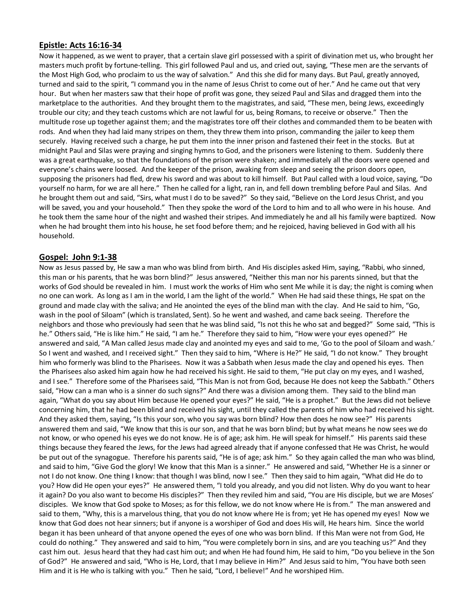#### **Epistle: Acts 16:16-34**

Now it happened, as we went to prayer, that a certain slave girl possessed with a spirit of divination met us, who brought her masters much profit by fortune-telling. This girl followed Paul and us, and cried out, saying, "These men are the servants of the Most High God, who proclaim to us the way of salvation." And this she did for many days. But Paul, greatly annoyed, turned and said to the spirit, "I command you in the name of Jesus Christ to come out of her." And he came out that very hour. But when her masters saw that their hope of profit was gone, they seized Paul and Silas and dragged them into the marketplace to the authorities. And they brought them to the magistrates, and said, "These men, being Jews, exceedingly trouble our city; and they teach customs which are not lawful for us, being Romans, to receive or observe." Then the multitude rose up together against them; and the magistrates tore off their clothes and commanded them to be beaten with rods. And when they had laid many stripes on them, they threw them into prison, commanding the jailer to keep them securely. Having received such a charge, he put them into the inner prison and fastened their feet in the stocks. But at midnight Paul and Silas were praying and singing hymns to God, and the prisoners were listening to them. Suddenly there was a great earthquake, so that the foundations of the prison were shaken; and immediately all the doors were opened and everyone's chains were loosed. And the keeper of the prison, awaking from sleep and seeing the prison doors open, supposing the prisoners had fled, drew his sword and was about to kill himself. But Paul called with a loud voice, saying, "Do yourself no harm, for we are all here." Then he called for a light, ran in, and fell down trembling before Paul and Silas. And he brought them out and said, "Sirs, what must I do to be saved?" So they said, "Believe on the Lord Jesus Christ, and you will be saved, you and your household." Then they spoke the word of the Lord to him and to all who were in his house. And he took them the same hour of the night and washed their stripes. And immediately he and all his family were baptized. Now when he had brought them into his house, he set food before them; and he rejoiced, having believed in God with all his household.

#### **Gospel: John 9:1-38**

Now as Jesus passed by, He saw a man who was blind from birth. And His disciples asked Him, saying, "Rabbi, who sinned, this man or his parents, that he was born blind?" Jesus answered, "Neither this man nor his parents sinned, but that the works of God should be revealed in him. I must work the works of Him who sent Me while it is day; the night is coming when no one can work. As long as I am in the world, I am the light of the world." When He had said these things, He spat on the ground and made clay with the saliva; and He anointed the eyes of the blind man with the clay. And He said to him, "Go, wash in the pool of Siloam" (which is translated, Sent). So he went and washed, and came back seeing. Therefore the neighbors and those who previously had seen that he was blind said, "Is not this he who sat and begged?" Some said, "This is he." Others said, "He is like him." He said, "I am he." Therefore they said to him, "How were your eyes opened?" He answered and said, "A Man called Jesus made clay and anointed my eyes and said to me, 'Go to the pool of Siloam and wash.' So I went and washed, and I received sight." Then they said to him, "Where is He?" He said, "I do not know." They brought him who formerly was blind to the Pharisees. Now it was a Sabbath when Jesus made the clay and opened his eyes. Then the Pharisees also asked him again how he had received his sight. He said to them, "He put clay on my eyes, and I washed, and I see." Therefore some of the Pharisees said, "This Man is not from God, because He does not keep the Sabbath." Others said, "How can a man who is a sinner do such signs?" And there was a division among them. They said to the blind man again, "What do you say about Him because He opened your eyes?" He said, "He is a prophet." But the Jews did not believe concerning him, that he had been blind and received his sight, until they called the parents of him who had received his sight. And they asked them, saying, "Is this your son, who you say was born blind? How then does he now see?" His parents answered them and said, "We know that this is our son, and that he was born blind; but by what means he now sees we do not know, or who opened his eyes we do not know. He is of age; ask him. He will speak for himself." His parents said these things because they feared the Jews, for the Jews had agreed already that if anyone confessed that He was Christ, he would be put out of the synagogue. Therefore his parents said, "He is of age; ask him." So they again called the man who was blind, and said to him, "Give God the glory! We know that this Man is a sinner." He answered and said, "Whether He is a sinner or not I do not know. One thing I know: that though I was blind, now I see." Then they said to him again, "What did He do to you? How did He open your eyes?" He answered them, "I told you already, and you did not listen. Why do you want to hear it again? Do you also want to become His disciples?" Then they reviled him and said, "You are His disciple, but we are Moses' disciples. We know that God spoke to Moses; as for this fellow, we do not know where He is from." The man answered and said to them, "Why, this is a marvelous thing, that you do not know where He is from; yet He has opened my eyes! Now we know that God does not hear sinners; but if anyone is a worshiper of God and does His will, He hears him. Since the world began it has been unheard of that anyone opened the eyes of one who was born blind. If this Man were not from God, He could do nothing." They answered and said to him, "You were completely born in sins, and are you teaching us?" And they cast him out. Jesus heard that they had cast him out; and when He had found him, He said to him, "Do you believe in the Son of God?" He answered and said, "Who is He, Lord, that I may believe in Him?" And Jesus said to him, "You have both seen Him and it is He who is talking with you." Then he said, "Lord, I believe!" And he worshiped Him.